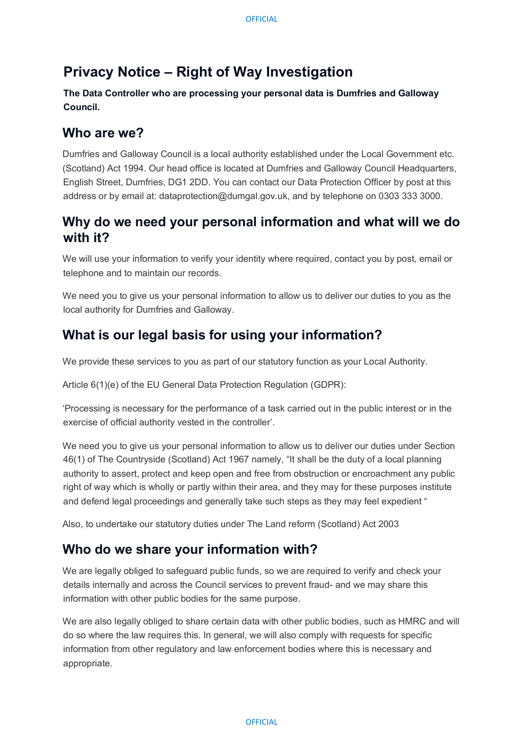# **Privacy Notice – Right of Way Investigation**

**The Data Controller who are processing your personal data is Dumfries and Galloway Council.** 

### **Who are we?**

Dumfries and Galloway Council is a local authority established under the Local Government etc. (Scotland) Act 1994. Our head office is located at Dumfries and Galloway Council Headquarters, English Street, Dumfries, DG1 2DD. You can contact our Data Protection Officer by post at this address or by email at: dataprotection@dumgal.gov.uk, and by telephone on 0303 333 3000.

### **Why do we need your personal information and what will we do with it?**

We will use your information to verify your identity where required, contact you by post, email or telephone and to maintain our records.

We need you to give us your personal information to allow us to deliver our duties to you as the local authority for Dumfries and Galloway.

# **What is our legal basis for using your information?**

We provide these services to you as part of our statutory function as your Local Authority.

Article 6(1)(e) of the EU General Data Protection Regulation (GDPR):

'Processing is necessary for the performance of a task carried out in the public interest or in the exercise of official authority vested in the controller'.

We need you to give us your personal information to allow us to deliver our duties under Section 46(1) of The Countryside (Scotland) Act 1967 namely, "It shall be the duty of a local planning authority to assert, protect and keep open and free from obstruction or encroachment any public right of way which is wholly or partly within their area, and they may for these purposes institute and defend legal proceedings and generally take such steps as they may feel expedient "

Also, to undertake our statutory duties under The Land reform (Scotland) Act 2003

# **Who do we share your information with?**

We are legally obliged to safeguard public funds, so we are required to verify and check your details internally and across the Council services to prevent fraud- and we may share this information with other public bodies for the same purpose.

We are also legally obliged to share certain data with other public bodies, such as HMRC and will do so where the law requires this. In general, we will also comply with requests for specific information from other regulatory and law enforcement bodies where this is necessary and appropriate.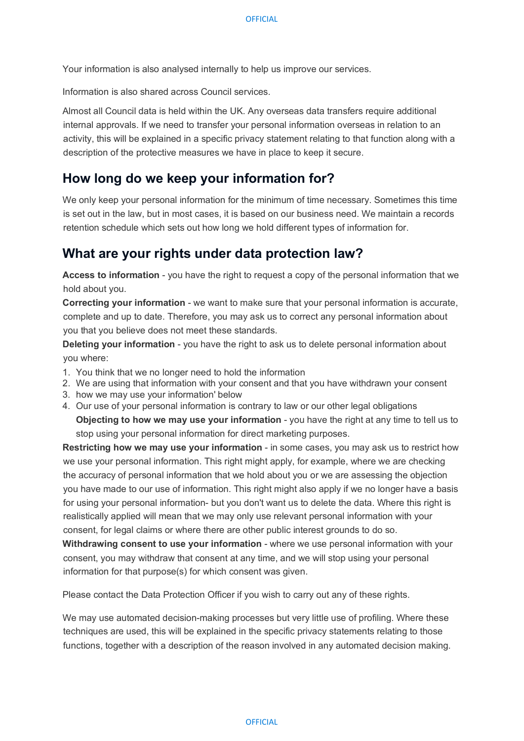Your information is also analysed internally to help us improve our services.

Information is also shared across Council services.

Almost all Council data is held within the UK. Any overseas data transfers require additional internal approvals. If we need to transfer your personal information overseas in relation to an activity, this will be explained in a specific privacy statement relating to that function along with a description of the protective measures we have in place to keep it secure.

#### **How long do we keep your information for?**

We only keep your personal information for the minimum of time necessary. Sometimes this time is set out in the law, but in most cases, it is based on our business need. We maintain a records retention schedule which sets out how long we hold different types of information for.

#### **What are your rights under data protection law?**

**Access to information** - you have the right to request a copy of the personal information that we hold about you.

**Correcting your information** - we want to make sure that your personal information is accurate, complete and up to date. Therefore, you may ask us to correct any personal information about you that you believe does not meet these standards.

**Deleting your information** - you have the right to ask us to delete personal information about you where:

- 1. You think that we no longer need to hold the information
- 2. We are using that information with your consent and that you have withdrawn your consent
- 3. how we may use your information' below
- 4. Our use of your personal information is contrary to law or our other legal obligations **Objecting to how we may use your information** - you have the right at any time to tell us to stop using your personal information for direct marketing purposes.

**Restricting how we may use your information - in some cases, you may ask us to restrict how** we use your personal information. This right might apply, for example, where we are checking the accuracy of personal information that we hold about you or we are assessing the objection you have made to our use of information. This right might also apply if we no longer have a basis for using your personal information- but you don't want us to delete the data. Where this right is realistically applied will mean that we may only use relevant personal information with your consent, for legal claims or where there are other public interest grounds to do so.

**Withdrawing consent to use your information** - where we use personal information with your consent, you may withdraw that consent at any time, and we will stop using your personal information for that purpose(s) for which consent was given.

Please contact the Data Protection Officer if you wish to carry out any of these rights.

We may use automated decision-making processes but very little use of profiling. Where these techniques are used, this will be explained in the specific privacy statements relating to those functions, together with a description of the reason involved in any automated decision making.